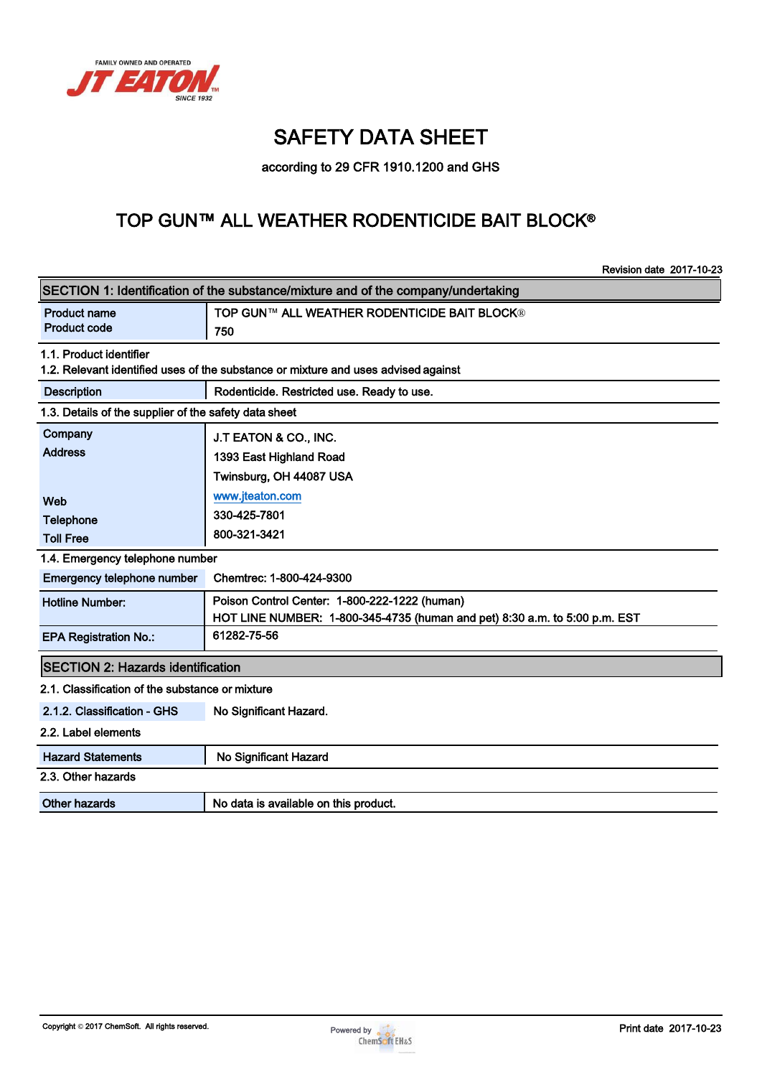

# SAFETY DATA SHEET

according to 29 CFR 1910.1200 and GHS

## TOP GUN™ ALL WEATHER RODENTICIDE BAIT BLOCK®

|                                                                                   | <b>Revision date 2017-10-23</b>                                                    |  |  |  |  |  |  |
|-----------------------------------------------------------------------------------|------------------------------------------------------------------------------------|--|--|--|--|--|--|
| SECTION 1: Identification of the substance/mixture and of the company/undertaking |                                                                                    |  |  |  |  |  |  |
| <b>Product name</b>                                                               | <b>TOP GUN™ ALL WEATHER RODENTICIDE BAIT BLOCK®</b>                                |  |  |  |  |  |  |
| <b>Product code</b>                                                               | 750                                                                                |  |  |  |  |  |  |
| 1.1. Product identifier                                                           |                                                                                    |  |  |  |  |  |  |
|                                                                                   | 1.2. Relevant identified uses of the substance or mixture and uses advised against |  |  |  |  |  |  |
| <b>Description</b>                                                                | Rodenticide. Restricted use. Ready to use.                                         |  |  |  |  |  |  |
| 1.3. Details of the supplier of the safety data sheet                             |                                                                                    |  |  |  |  |  |  |
| Company                                                                           | J.T EATON & CO., INC.                                                              |  |  |  |  |  |  |
| <b>Address</b>                                                                    | 1393 East Highland Road                                                            |  |  |  |  |  |  |
|                                                                                   | Twinsburg, OH 44087 USA                                                            |  |  |  |  |  |  |
| Web                                                                               | www.jteaton.com                                                                    |  |  |  |  |  |  |
| Telephone                                                                         | 330-425-7801                                                                       |  |  |  |  |  |  |
| <b>Toll Free</b>                                                                  | 800-321-3421                                                                       |  |  |  |  |  |  |
| 1.4. Emergency telephone number                                                   |                                                                                    |  |  |  |  |  |  |
| Emergency telephone number                                                        | Chemtrec: 1-800-424-9300                                                           |  |  |  |  |  |  |
| <b>Hotline Number:</b>                                                            | Poison Control Center: 1-800-222-1222 (human)                                      |  |  |  |  |  |  |
|                                                                                   | HOT LINE NUMBER: 1-800-345-4735 (human and pet) 8:30 a.m. to 5:00 p.m. EST         |  |  |  |  |  |  |
| <b>EPA Registration No.:</b>                                                      | 61282-75-56                                                                        |  |  |  |  |  |  |
| <b>SECTION 2: Hazards identification</b>                                          |                                                                                    |  |  |  |  |  |  |
| 2.1. Classification of the substance or mixture                                   |                                                                                    |  |  |  |  |  |  |
| 2.1.2. Classification - GHS                                                       | No Significant Hazard.                                                             |  |  |  |  |  |  |
| 2.2. Label elements                                                               |                                                                                    |  |  |  |  |  |  |
| <b>Hazard Statements</b>                                                          | No Significant Hazard                                                              |  |  |  |  |  |  |
| 2.3. Other hazards                                                                |                                                                                    |  |  |  |  |  |  |
| <b>Other hazards</b>                                                              | No data is available on this product.                                              |  |  |  |  |  |  |
|                                                                                   |                                                                                    |  |  |  |  |  |  |

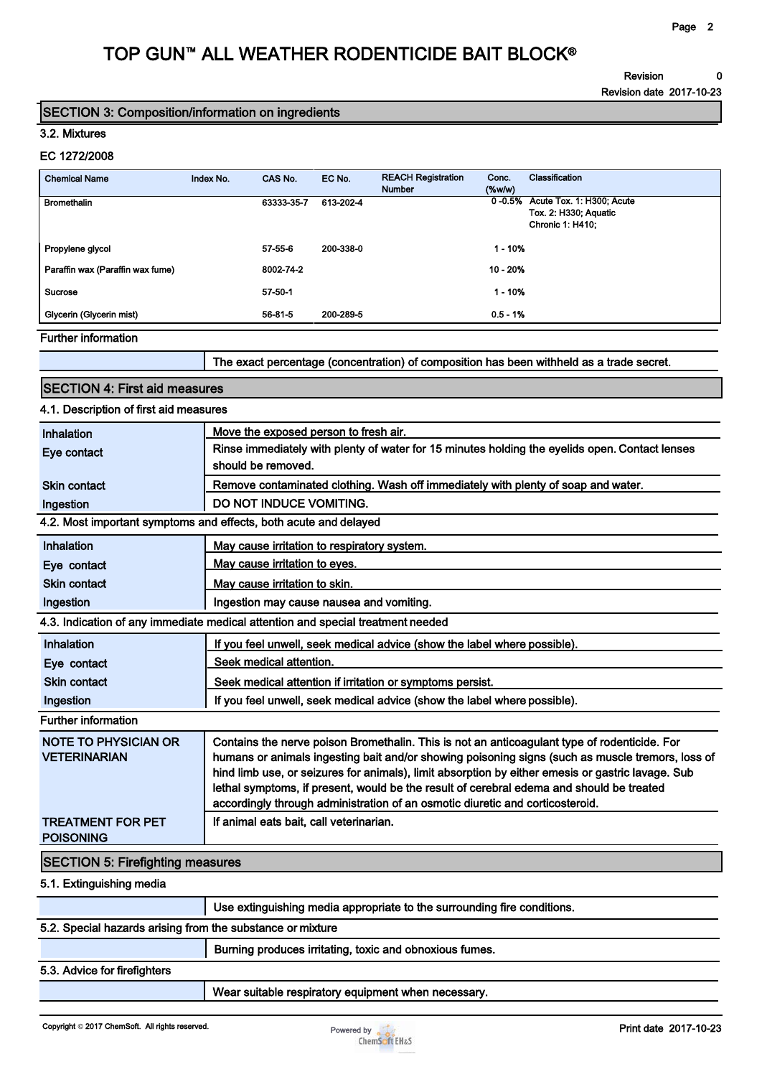Revision 0

Revision date 2017-10-23

### SECTION 3: Composition/information on ingredients

#### 3.2. Mixtures

#### EC 1272/2008

| <b>Chemical Name</b>             | Index No. | CAS No.    | EC No.    | <b>REACH Registration</b><br><b>Number</b> | Conc.<br>$(\%w/w)$ | Classification                                                                              |
|----------------------------------|-----------|------------|-----------|--------------------------------------------|--------------------|---------------------------------------------------------------------------------------------|
| <b>Bromethalin</b>               |           | 63333-35-7 | 613-202-4 |                                            |                    | 0-0.5% Acute Tox. 1: H300; Acute<br><b>Tox. 2: H330; Aquatic</b><br><b>Chronic 1: H410:</b> |
| Propylene glycol                 |           | 57-55-6    | 200-338-0 |                                            | $1 - 10%$          |                                                                                             |
| Paraffin wax (Paraffin wax fume) |           | 8002-74-2  |           |                                            | 10 - 20%           |                                                                                             |
| <b>Sucrose</b>                   |           | 57-50-1    |           |                                            | $1 - 10%$          |                                                                                             |
| Glycerin (Glycerin mist)         |           | 56-81-5    | 200-289-5 |                                            | $0.5 - 1%$         |                                                                                             |
| <b>Further information</b>       |           |            |           |                                            |                    |                                                                                             |

er informa

The exact percentage (concentration) of composition has been withheld as a trade secret.

### SECTION 4: First aid measures

## 4.1. Description of first aid measures

| Inhalation                                                 | Move the exposed person to fresh air.                                                                                                                                                            |
|------------------------------------------------------------|--------------------------------------------------------------------------------------------------------------------------------------------------------------------------------------------------|
| Eye contact                                                | Rinse immediately with plenty of water for 15 minutes holding the eyelids open. Contact lenses                                                                                                   |
|                                                            | should be removed.                                                                                                                                                                               |
| Skin contact                                               | Remove contaminated clothing. Wash off immediately with plenty of soap and water.                                                                                                                |
| Ingestion                                                  | <b>DO NOT INDUCE VOMITING.</b>                                                                                                                                                                   |
|                                                            | 4.2. Most important symptoms and effects, both acute and delayed                                                                                                                                 |
| Inhalation                                                 | May cause irritation to respiratory system.                                                                                                                                                      |
| Eye contact                                                | May cause irritation to eyes.                                                                                                                                                                    |
| Skin contact                                               | May cause irritation to skin.                                                                                                                                                                    |
| Ingestion                                                  | Ingestion may cause nausea and vomiting.                                                                                                                                                         |
|                                                            | 4.3. Indication of any immediate medical attention and special treatment needed                                                                                                                  |
| Inhalation                                                 | If you feel unwell, seek medical advice (show the label where possible).                                                                                                                         |
| Eye contact                                                | Seek medical attention.                                                                                                                                                                          |
| <b>Skin contact</b>                                        | Seek medical attention if irritation or symptoms persist.                                                                                                                                        |
| Ingestion                                                  | If you feel unwell, seek medical advice (show the label where possible).                                                                                                                         |
| <b>Further information</b>                                 |                                                                                                                                                                                                  |
| <b>NOTE TO PHYSICIAN OR</b><br><b>VETERINARIAN</b>         | Contains the nerve poison Bromethalin. This is not an anticoagulant type of rodenticide. For<br>humans or animals ingesting bait and/or showing poisoning signs (such as muscle tremors, loss of |
|                                                            | hind limb use, or seizures for animals), limit absorption by either emesis or gastric lavage. Sub                                                                                                |
|                                                            | lethal symptoms, if present, would be the result of cerebral edema and should be treated                                                                                                         |
|                                                            | accordingly through administration of an osmotic diuretic and corticosteroid.                                                                                                                    |
| <b>TREATMENT FOR PET</b><br><b>POISONING</b>               | If animal eats bait, call veterinarian.                                                                                                                                                          |
| <b>SECTION 5: Firefighting measures</b>                    |                                                                                                                                                                                                  |
| 5.1. Extinguishing media                                   |                                                                                                                                                                                                  |
|                                                            | Use extinguishing media appropriate to the surrounding fire conditions.                                                                                                                          |
| 5.2. Special hazards arising from the substance or mixture |                                                                                                                                                                                                  |
|                                                            | Burning produces irritating, toxic and obnoxious fumes.                                                                                                                                          |
| 5.3. Advice for firefighters                               |                                                                                                                                                                                                  |

Wear suitable respiratory equipment when necessary.

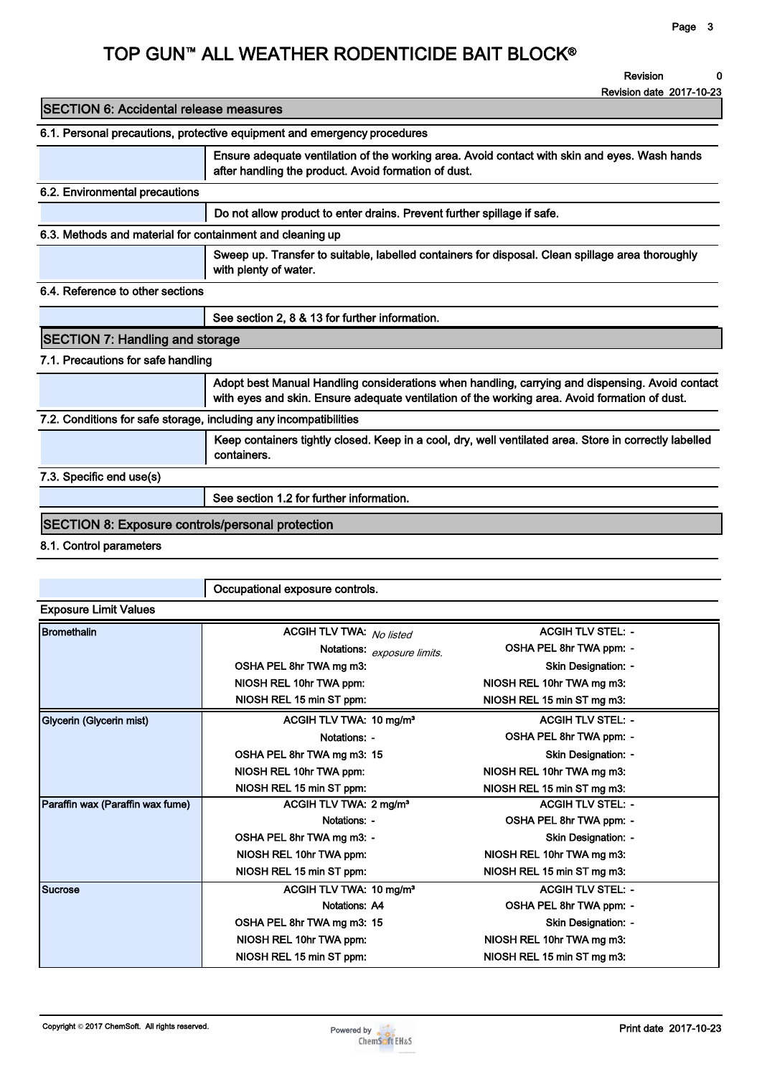Revision 0

Revision date 2017-10-23

| <b>SECTION 6: Accidental release measures</b>                            |                                                                                                                                                                                                  |  |  |  |  |  |
|--------------------------------------------------------------------------|--------------------------------------------------------------------------------------------------------------------------------------------------------------------------------------------------|--|--|--|--|--|
| 6.1. Personal precautions, protective equipment and emergency procedures |                                                                                                                                                                                                  |  |  |  |  |  |
|                                                                          | Ensure adequate ventilation of the working area. Avoid contact with skin and eyes. Wash hands<br>after handling the product. Avoid formation of dust.                                            |  |  |  |  |  |
| 6.2. Environmental precautions                                           |                                                                                                                                                                                                  |  |  |  |  |  |
|                                                                          | Do not allow product to enter drains. Prevent further spillage if safe.                                                                                                                          |  |  |  |  |  |
| 6.3. Methods and material for containment and cleaning up                |                                                                                                                                                                                                  |  |  |  |  |  |
|                                                                          | Sweep up. Transfer to suitable, labelled containers for disposal. Clean spillage area thoroughly<br>with plenty of water.                                                                        |  |  |  |  |  |
| 6.4. Reference to other sections                                         |                                                                                                                                                                                                  |  |  |  |  |  |
|                                                                          | See section 2, 8 & 13 for further information.                                                                                                                                                   |  |  |  |  |  |
| <b>SECTION 7: Handling and storage</b>                                   |                                                                                                                                                                                                  |  |  |  |  |  |
| 7.1. Precautions for safe handling                                       |                                                                                                                                                                                                  |  |  |  |  |  |
|                                                                          | Adopt best Manual Handling considerations when handling, carrying and dispensing. Avoid contact<br>with eyes and skin. Ensure adequate ventilation of the working area. Avoid formation of dust. |  |  |  |  |  |
| 7.2. Conditions for safe storage, including any incompatibilities        |                                                                                                                                                                                                  |  |  |  |  |  |
|                                                                          | Keep containers tightly closed. Keep in a cool, dry, well ventilated area. Store in correctly labelled<br>containers.                                                                            |  |  |  |  |  |
| 7.3. Specific end use(s)                                                 |                                                                                                                                                                                                  |  |  |  |  |  |
|                                                                          | See section 1.2 for further information.                                                                                                                                                         |  |  |  |  |  |
| <b>SECTION 8: Exposure controls/personal protection</b>                  |                                                                                                                                                                                                  |  |  |  |  |  |
| 8.1. Control parameters                                                  |                                                                                                                                                                                                  |  |  |  |  |  |
|                                                                          |                                                                                                                                                                                                  |  |  |  |  |  |

|                                  | Occupational exposure controls.     |                            |  |  |  |  |
|----------------------------------|-------------------------------------|----------------------------|--|--|--|--|
| <b>Exposure Limit Values</b>     |                                     |                            |  |  |  |  |
| <b>Bromethalin</b>               | ACGIH TLV TWA: No listed            | <b>ACGIH TLV STEL: -</b>   |  |  |  |  |
|                                  | Notations: exposure limits.         | OSHA PEL 8hr TWA ppm: -    |  |  |  |  |
|                                  | OSHA PEL 8hr TWA mg m3:             | <b>Skin Designation: -</b> |  |  |  |  |
|                                  | NIOSH REL 10hr TWA ppm:             | NIOSH REL 10hr TWA mg m3:  |  |  |  |  |
|                                  | NIOSH REL 15 min ST ppm:            | NIOSH REL 15 min ST mg m3: |  |  |  |  |
| Glycerin (Glycerin mist)         | ACGIH TLV TWA: 10 mg/m <sup>3</sup> | <b>ACGIH TLV STEL: -</b>   |  |  |  |  |
|                                  | Notations: -                        | OSHA PEL 8hr TWA ppm: -    |  |  |  |  |
|                                  | OSHA PEL 8hr TWA mg m3: 15          | Skin Designation: -        |  |  |  |  |
|                                  | NIOSH REL 10hr TWA ppm:             | NIOSH REL 10hr TWA mg m3:  |  |  |  |  |
|                                  | NIOSH REL 15 min ST ppm:            | NIOSH REL 15 min ST mg m3: |  |  |  |  |
| Paraffin wax (Paraffin wax fume) | ACGIH TLV TWA: 2 mg/m <sup>3</sup>  | <b>ACGIH TLV STEL: -</b>   |  |  |  |  |
|                                  | Notations: -                        | OSHA PEL 8hr TWA ppm: -    |  |  |  |  |
|                                  | OSHA PEL 8hr TWA mg m3: -           | Skin Designation: -        |  |  |  |  |
|                                  | NIOSH REL 10hr TWA ppm:             | NIOSH REL 10hr TWA mg m3:  |  |  |  |  |
|                                  | NIOSH REL 15 min ST ppm:            | NIOSH REL 15 min ST mg m3: |  |  |  |  |
| <b>Sucrose</b>                   | ACGIH TLV TWA: 10 mg/m <sup>3</sup> | <b>ACGIH TLV STEL: -</b>   |  |  |  |  |
|                                  | Notations: A4                       | OSHA PEL 8hr TWA ppm: -    |  |  |  |  |
|                                  | OSHA PEL 8hr TWA mg m3: 15          | <b>Skin Designation: -</b> |  |  |  |  |
|                                  | NIOSH REL 10hr TWA ppm:             | NIOSH REL 10hr TWA ma m3:  |  |  |  |  |
|                                  | NIOSH REL 15 min ST ppm:            | NIOSH REL 15 min ST mg m3: |  |  |  |  |

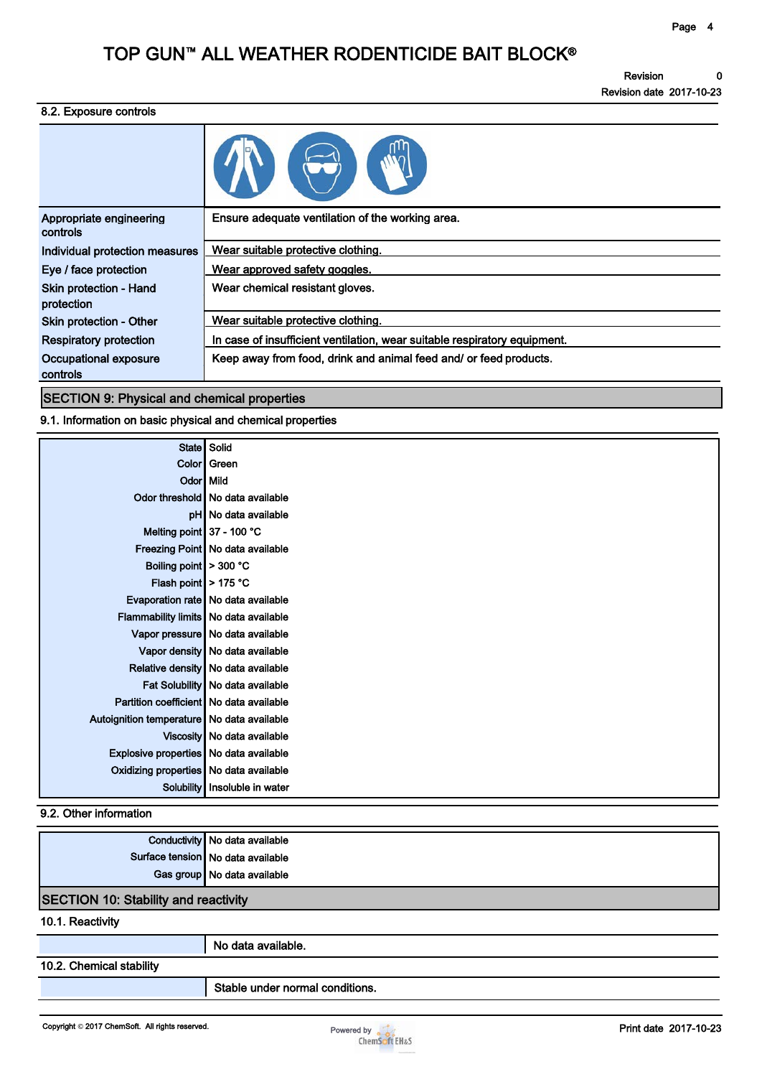Revision 0 Revision date 2017-10-23

#### 8.2. Exposure controls

| Ensure adequate ventilation of the working area.                          |
|---------------------------------------------------------------------------|
| Wear suitable protective clothing.                                        |
| Wear approved safety goggles.                                             |
| Wear chemical resistant gloves.                                           |
| Wear suitable protective clothing.                                        |
| In case of insufficient ventilation, wear suitable respiratory equipment. |
| Keep away from food, drink and animal feed and/ or feed products.         |
|                                                                           |

SECTION 9: Physical and chemical properties

9.1. Information on basic physical and chemical properties

| <b>State</b>                               | Solid                              |
|--------------------------------------------|------------------------------------|
|                                            | Color Green                        |
| Odor Mild                                  |                                    |
|                                            | Odor threshold No data available   |
|                                            | pH No data available               |
| Melting point 37 - 100 °C                  |                                    |
|                                            | Freezing Point No data available   |
| Boiling point > 300 °C                     |                                    |
| Flash point > 175 °C                       |                                    |
|                                            | Evaporation rate No data available |
| Flammability limits No data available      |                                    |
|                                            | Vapor pressure No data available   |
|                                            | Vapor density No data available    |
|                                            | Relative density No data available |
|                                            | Fat Solubility No data available   |
| Partition coefficient No data available    |                                    |
| Autoignition temperature No data available |                                    |
|                                            | Viscosity No data available        |
| Explosive properties No data available     |                                    |
| Oxidizing properties No data available     |                                    |
| <b>Solubility</b>                          | Insoluble in water                 |
|                                            |                                    |

### 9.2. Other information

|                                             | Conductivity No data available    |  |
|---------------------------------------------|-----------------------------------|--|
|                                             | Surface tension No data available |  |
|                                             | Gas group No data available       |  |
| <b>SECTION 10: Stability and reactivity</b> |                                   |  |

#### 10.1. Reactivity

No data available.

### 10.2. Chemical stability

Stable under normal conditions.

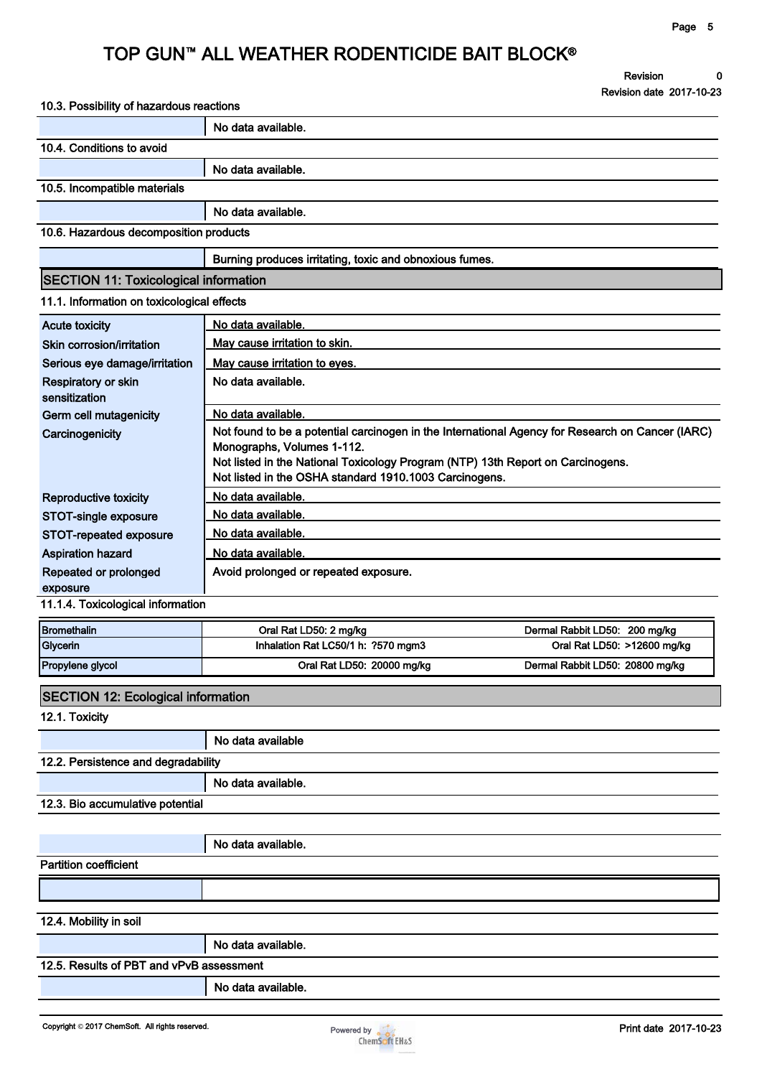Revision 0 Revision date 2017-10-23

| 10.3. Possibility of hazardous reactions     |                                                                                                                                                                                                                                                                             |                                 |  |  |  |  |  |
|----------------------------------------------|-----------------------------------------------------------------------------------------------------------------------------------------------------------------------------------------------------------------------------------------------------------------------------|---------------------------------|--|--|--|--|--|
|                                              | No data available.                                                                                                                                                                                                                                                          |                                 |  |  |  |  |  |
| 10.4. Conditions to avoid                    |                                                                                                                                                                                                                                                                             |                                 |  |  |  |  |  |
|                                              | No data available.                                                                                                                                                                                                                                                          |                                 |  |  |  |  |  |
| 10.5. Incompatible materials                 |                                                                                                                                                                                                                                                                             |                                 |  |  |  |  |  |
|                                              | No data available.                                                                                                                                                                                                                                                          |                                 |  |  |  |  |  |
| 10.6. Hazardous decomposition products       |                                                                                                                                                                                                                                                                             |                                 |  |  |  |  |  |
|                                              | Burning produces irritating, toxic and obnoxious fumes.                                                                                                                                                                                                                     |                                 |  |  |  |  |  |
| <b>SECTION 11: Toxicological information</b> |                                                                                                                                                                                                                                                                             |                                 |  |  |  |  |  |
| 11.1. Information on toxicological effects   |                                                                                                                                                                                                                                                                             |                                 |  |  |  |  |  |
| <b>Acute toxicity</b>                        | No data available.                                                                                                                                                                                                                                                          |                                 |  |  |  |  |  |
| Skin corrosion/irritation                    | May cause irritation to skin.                                                                                                                                                                                                                                               |                                 |  |  |  |  |  |
| Serious eye damage/irritation                | May cause irritation to eyes.                                                                                                                                                                                                                                               |                                 |  |  |  |  |  |
| Respiratory or skin<br>sensitization         | No data available.                                                                                                                                                                                                                                                          |                                 |  |  |  |  |  |
| Germ cell mutagenicity                       | No data available.                                                                                                                                                                                                                                                          |                                 |  |  |  |  |  |
| Carcinogenicity                              | Not found to be a potential carcinogen in the International Agency for Research on Cancer (IARC)<br>Monographs, Volumes 1-112.<br>Not listed in the National Toxicology Program (NTP) 13th Report on Carcinogens.<br>Not listed in the OSHA standard 1910.1003 Carcinogens. |                                 |  |  |  |  |  |
| Reproductive toxicity                        | No data available.                                                                                                                                                                                                                                                          |                                 |  |  |  |  |  |
| STOT-single exposure                         | No data available.                                                                                                                                                                                                                                                          |                                 |  |  |  |  |  |
| STOT-repeated exposure                       | No data available.                                                                                                                                                                                                                                                          |                                 |  |  |  |  |  |
| <b>Aspiration hazard</b>                     | No data available.                                                                                                                                                                                                                                                          |                                 |  |  |  |  |  |
| Repeated or prolonged<br>exposure            | Avoid prolonged or repeated exposure.                                                                                                                                                                                                                                       |                                 |  |  |  |  |  |
| 11.1.4. Toxicological information            |                                                                                                                                                                                                                                                                             |                                 |  |  |  |  |  |
| <b>Bromethalin</b>                           | Oral Rat LD50: 2 mg/kg                                                                                                                                                                                                                                                      | Dermal Rabbit LD50: 200 mg/kg   |  |  |  |  |  |
| Glycerin                                     | Inhalation Rat LC50/1 h: ?570 mgm3                                                                                                                                                                                                                                          | Oral Rat LD50: >12600 mg/kg     |  |  |  |  |  |
| Propylene glycol                             | Oral Rat LD50: 20000 mg/kg                                                                                                                                                                                                                                                  | Dermal Rabbit LD50: 20800 mg/kg |  |  |  |  |  |
| <b>SECTION 12: Ecological information</b>    |                                                                                                                                                                                                                                                                             |                                 |  |  |  |  |  |
| 12.1. Toxicity                               |                                                                                                                                                                                                                                                                             |                                 |  |  |  |  |  |
|                                              | No data available                                                                                                                                                                                                                                                           |                                 |  |  |  |  |  |
| 12.2. Persistence and degradability          |                                                                                                                                                                                                                                                                             |                                 |  |  |  |  |  |
|                                              | No data available.                                                                                                                                                                                                                                                          |                                 |  |  |  |  |  |
| 12.3. Bio accumulative potential             |                                                                                                                                                                                                                                                                             |                                 |  |  |  |  |  |
|                                              |                                                                                                                                                                                                                                                                             |                                 |  |  |  |  |  |
|                                              | No data available.                                                                                                                                                                                                                                                          |                                 |  |  |  |  |  |
| <b>Partition coefficient</b>                 |                                                                                                                                                                                                                                                                             |                                 |  |  |  |  |  |
|                                              |                                                                                                                                                                                                                                                                             |                                 |  |  |  |  |  |
| 12.4. Mobility in soil                       |                                                                                                                                                                                                                                                                             |                                 |  |  |  |  |  |
|                                              | No data available.                                                                                                                                                                                                                                                          |                                 |  |  |  |  |  |
| 12.5. Results of PBT and vPvB assessment     |                                                                                                                                                                                                                                                                             |                                 |  |  |  |  |  |
|                                              | No data available.                                                                                                                                                                                                                                                          |                                 |  |  |  |  |  |
|                                              |                                                                                                                                                                                                                                                                             |                                 |  |  |  |  |  |

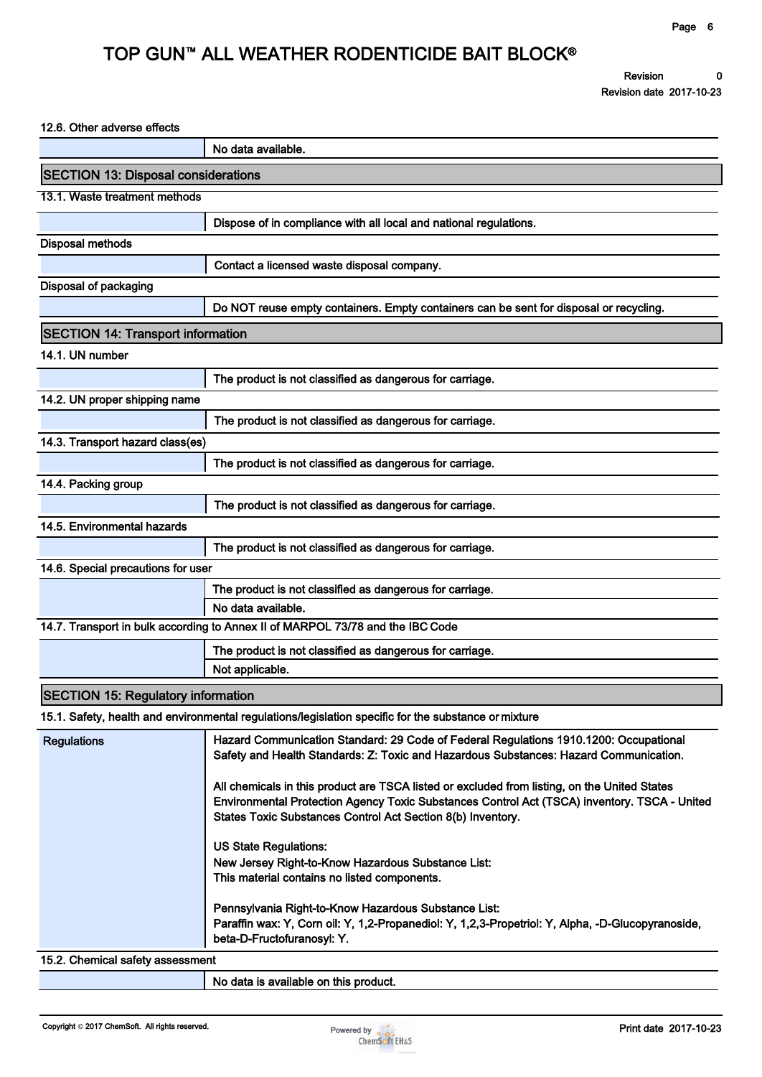#### 12.6. Other adverse effects

|                                            | No data available.                                                                                                                                                                                                                                          |
|--------------------------------------------|-------------------------------------------------------------------------------------------------------------------------------------------------------------------------------------------------------------------------------------------------------------|
| <b>SECTION 13: Disposal considerations</b> |                                                                                                                                                                                                                                                             |
| 13.1. Waste treatment methods              |                                                                                                                                                                                                                                                             |
|                                            | Dispose of in compliance with all local and national regulations.                                                                                                                                                                                           |
| <b>Disposal methods</b>                    |                                                                                                                                                                                                                                                             |
|                                            | Contact a licensed waste disposal company.                                                                                                                                                                                                                  |
| Disposal of packaging                      |                                                                                                                                                                                                                                                             |
|                                            | Do NOT reuse empty containers. Empty containers can be sent for disposal or recycling.                                                                                                                                                                      |
| <b>SECTION 14: Transport information</b>   |                                                                                                                                                                                                                                                             |
| 14.1. UN number                            |                                                                                                                                                                                                                                                             |
|                                            | The product is not classified as dangerous for carriage.                                                                                                                                                                                                    |
| 14.2. UN proper shipping name              |                                                                                                                                                                                                                                                             |
|                                            | The product is not classified as dangerous for carriage.                                                                                                                                                                                                    |
| 14.3. Transport hazard class(es)           |                                                                                                                                                                                                                                                             |
|                                            | The product is not classified as dangerous for carriage.                                                                                                                                                                                                    |
| 14.4. Packing group                        |                                                                                                                                                                                                                                                             |
|                                            | The product is not classified as dangerous for carriage.                                                                                                                                                                                                    |
| 14.5. Environmental hazards                |                                                                                                                                                                                                                                                             |
|                                            | The product is not classified as dangerous for carriage.                                                                                                                                                                                                    |
| 14.6. Special precautions for user         |                                                                                                                                                                                                                                                             |
|                                            | The product is not classified as dangerous for carriage.<br>No data available.                                                                                                                                                                              |
|                                            | 14.7. Transport in bulk according to Annex II of MARPOL 73/78 and the IBC Code                                                                                                                                                                              |
|                                            | The product is not classified as dangerous for carriage.                                                                                                                                                                                                    |
|                                            | Not applicable.                                                                                                                                                                                                                                             |
| <b>SECTION 15: Regulatory information</b>  |                                                                                                                                                                                                                                                             |
|                                            | 15.1. Safety, health and environmental regulations/legislation specific for the substance or mixture                                                                                                                                                        |
| <b>Regulations</b>                         | Hazard Communication Standard: 29 Code of Federal Regulations 1910.1200: Occupational<br>Safety and Health Standards: Z: Toxic and Hazardous Substances: Hazard Communication.                                                                              |
|                                            | All chemicals in this product are TSCA listed or excluded from listing, on the United States<br>Environmental Protection Agency Toxic Substances Control Act (TSCA) inventory. TSCA - United<br>States Toxic Substances Control Act Section 8(b) Inventory. |
|                                            | <b>US State Regulations:</b>                                                                                                                                                                                                                                |
|                                            | New Jersey Right-to-Know Hazardous Substance List:<br>This material contains no listed components.                                                                                                                                                          |
|                                            | Pennsylvania Right-to-Know Hazardous Substance List:<br>Paraffin wax: Y, Corn oil: Y, 1,2-Propanediol: Y, 1,2,3-Propetriol: Y, Alpha, -D-Glucopyranoside,<br>beta-D-Fructofuranosyl: Y.                                                                     |
| 15.2. Chemical safety assessment           |                                                                                                                                                                                                                                                             |
|                                            | No data is available on this product.                                                                                                                                                                                                                       |